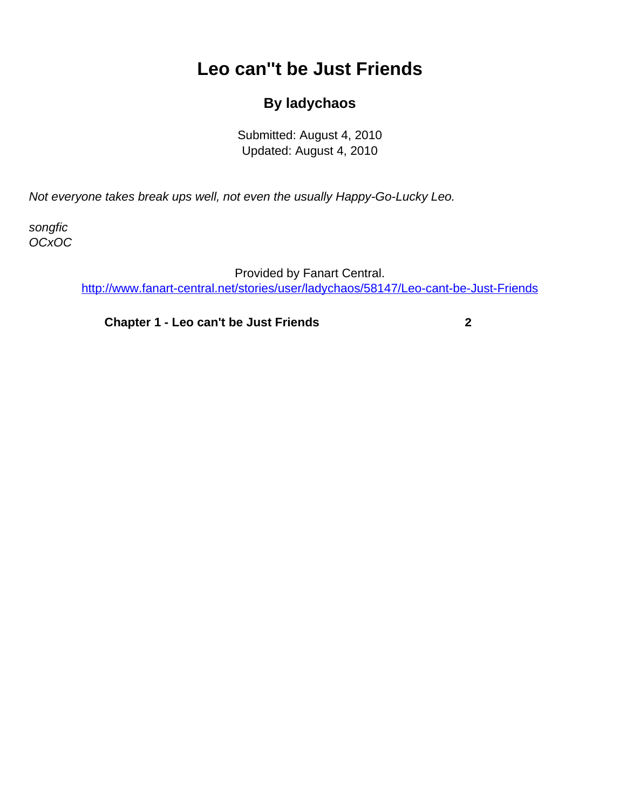## **Leo can''t be Just Friends**

## **By ladychaos**

Submitted: August 4, 2010 Updated: August 4, 2010

<span id="page-0-0"></span>Not everyone takes break ups well, not even the usually Happy-Go-Lucky Leo.

songfic OCxOC

> Provided by Fanart Central. [http://www.fanart-central.net/stories/user/ladychaos/58147/Leo-cant-be-Just-Friends](#page-0-0)

**[Chapter 1 - Leo can't be Just Friends](#page-1-0) [2](#page-1-0)**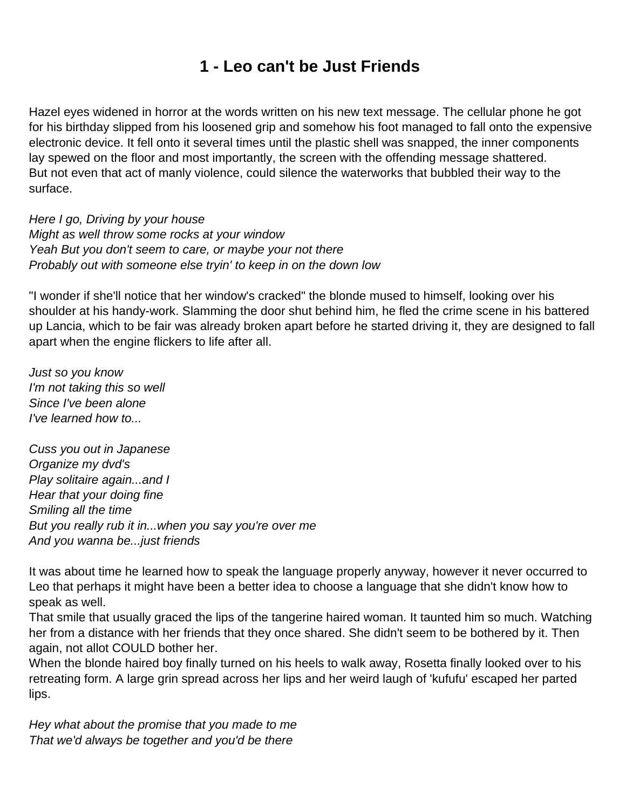## **1 - Leo can't be Just Friends**

<span id="page-1-0"></span>Hazel eyes widened in horror at the words written on his new text message. The cellular phone he got for his birthday slipped from his loosened grip and somehow his foot managed to fall onto the expensive electronic device. It fell onto it several times until the plastic shell was snapped, the inner components lay spewed on the floor and most importantly, the screen with the offending message shattered. But not even that act of manly violence, could silence the waterworks that bubbled their way to the surface.

Here I go, Driving by your house Might as well throw some rocks at your window Yeah But you don't seem to care, or maybe your not there Probably out with someone else tryin' to keep in on the down low

"I wonder if she'll notice that her window's cracked" the blonde mused to himself, looking over his shoulder at his handy-work. Slamming the door shut behind him, he fled the crime scene in his battered up Lancia, which to be fair was already broken apart before he started driving it, they are designed to fall apart when the engine flickers to life after all.

Just so you know I'm not taking this so well Since I've been alone I've learned how to...

Cuss you out in Japanese Organize my dvd's Play solitaire again...and I Hear that your doing fine Smiling all the time But you really rub it in...when you say you're over me And you wanna be...just friends

It was about time he learned how to speak the language properly anyway, however it never occurred to Leo that perhaps it might have been a better idea to choose a language that she didn't know how to speak as well.

That smile that usually graced the lips of the tangerine haired woman. It taunted him so much. Watching her from a distance with her friends that they once shared. She didn't seem to be bothered by it. Then again, not allot COULD bother her.

When the blonde haired boy finally turned on his heels to walk away, Rosetta finally looked over to his retreating form. A large grin spread across her lips and her weird laugh of 'kufufu' escaped her parted lips.

Hey what about the promise that you made to me That we'd always be together and you'd be there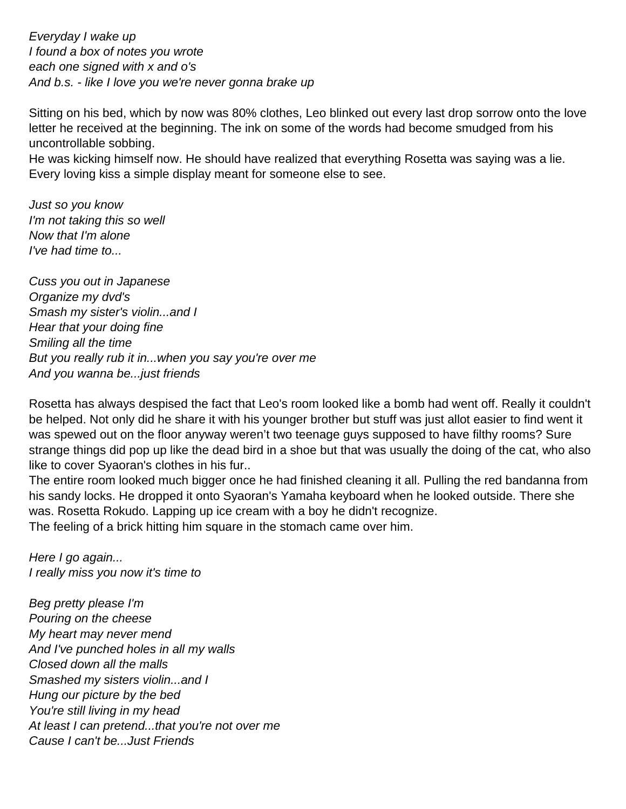Everyday I wake up I found a box of notes you wrote each one signed with x and o's And b.s. - like I love you we're never gonna brake up

Sitting on his bed, which by now was 80% clothes, Leo blinked out every last drop sorrow onto the love letter he received at the beginning. The ink on some of the words had become smudged from his uncontrollable sobbing.

He was kicking himself now. He should have realized that everything Rosetta was saying was a lie. Every loving kiss a simple display meant for someone else to see.

Just so you know I'm not taking this so well Now that I'm alone I've had time to...

Cuss you out in Japanese Organize my dvd's Smash my sister's violin...and I Hear that your doing fine Smiling all the time But you really rub it in...when you say you're over me And you wanna be...just friends

Rosetta has always despised the fact that Leo's room looked like a bomb had went off. Really it couldn't be helped. Not only did he share it with his younger brother but stuff was just allot easier to find went it was spewed out on the floor anyway weren't two teenage guys supposed to have filthy rooms? Sure strange things did pop up like the dead bird in a shoe but that was usually the doing of the cat, who also like to cover Syaoran's clothes in his fur..

The entire room looked much bigger once he had finished cleaning it all. Pulling the red bandanna from his sandy locks. He dropped it onto Syaoran's Yamaha keyboard when he looked outside. There she was. Rosetta Rokudo. Lapping up ice cream with a boy he didn't recognize. The feeling of a brick hitting him square in the stomach came over him.

Here I go again... I really miss you now it's time to

Beg pretty please I'm Pouring on the cheese My heart may never mend And I've punched holes in all my walls Closed down all the malls Smashed my sisters violin...and I Hung our picture by the bed You're still living in my head At least I can pretend...that you're not over me Cause I can't be...Just Friends